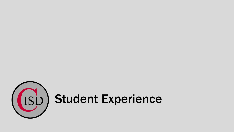

# (ISD) Student Experience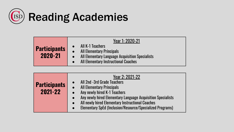

| <b>Participants</b><br>2020-21 | Year 1: 2020-21<br>All K-1 Teachers<br><b>All Elementary Principals</b><br>All Elementary Language Acquisition Specialists<br><b>All Elementary Instructional Coaches</b> |
|--------------------------------|---------------------------------------------------------------------------------------------------------------------------------------------------------------------------|
|--------------------------------|---------------------------------------------------------------------------------------------------------------------------------------------------------------------------|

| <b>Participants</b><br>2021-22 | Year 2: 2021-22<br>All 2nd -3rd Grade Teachers<br><b>All Elementary Principals</b><br>Any newly hired K-1 Teachers<br>Any newly hired Elementary Language Acquisition Specialists<br>All newly hired Elementary Instructional Coaches<br><b>Elementary SpEd (Inclusion/Resource/Specialized Programs)</b><br>$\bullet$ |
|--------------------------------|------------------------------------------------------------------------------------------------------------------------------------------------------------------------------------------------------------------------------------------------------------------------------------------------------------------------|
|--------------------------------|------------------------------------------------------------------------------------------------------------------------------------------------------------------------------------------------------------------------------------------------------------------------------------------------------------------------|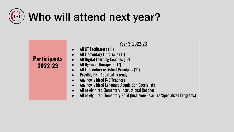## Who will attend next year?

| <b>Participants</b><br>2022-23 | Year 3: 2022-23<br>All GT Facilitators (11)<br><b>All Elementary Librarians (11)</b><br>All Digital Learning Coaches (12)<br>All Dyslexia Therapists (17)<br>All Elementary Assistant Principals (11)<br>Possibly PK (if content is ready)<br>Any newly hired K-3 Teachers<br>Any newly hired Language Acquisition Specialists<br>All newly hired Elementary Instructional Coaches<br>All newly hired Elementary SpEd (Inclusion/Resource/Specialized Programs) |
|--------------------------------|-----------------------------------------------------------------------------------------------------------------------------------------------------------------------------------------------------------------------------------------------------------------------------------------------------------------------------------------------------------------------------------------------------------------------------------------------------------------|
|--------------------------------|-----------------------------------------------------------------------------------------------------------------------------------------------------------------------------------------------------------------------------------------------------------------------------------------------------------------------------------------------------------------------------------------------------------------------------------------------------------------|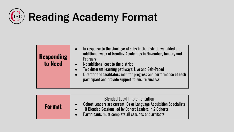

| <b>Responding</b><br>to Need |
|------------------------------|

| <b>Format</b> | <b>Blended Local Implementation</b><br><b>Cohort Leaders are current ICs or Language Acquisition Specialists</b><br>10 Blended Sessions led by Cohort Leaders in 2 Cohorts<br>Participants must complete all sessions and artifacts |
|---------------|-------------------------------------------------------------------------------------------------------------------------------------------------------------------------------------------------------------------------------------|
|---------------|-------------------------------------------------------------------------------------------------------------------------------------------------------------------------------------------------------------------------------------|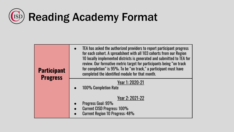

| ticinant | TEA has asked the authorized providers to report participant progress<br>for each cohort. A spreadsheet with all 103 cohorts from our Region<br>10 locally implemented districts is generated and submitted to TEA for<br>review. Our formative metric target for participants being "on track<br>for completion" is 95%. To be "on track," a participant must have |
|----------|---------------------------------------------------------------------------------------------------------------------------------------------------------------------------------------------------------------------------------------------------------------------------------------------------------------------------------------------------------------------|

completed the identified module for that month.

**Participant Progress**

#### Year 1: 2020-21

100% Completion Rate

#### Year 2: 2021-22

- Progress Goal: 95%
- Current CISD Progress: 100%
- **Current Region 10 Progress: 48%**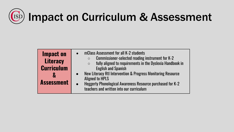## $\left(\begin{matrix} 1 & 1 \\ 1 & 1 \end{matrix}\right)$  Impact on Curriculum & Assessment

| <b>Impact on</b><br><b>Literacy</b><br><b>Curriculum</b> | mClass Assessment for all K-2 students<br>$\bullet$<br>Commissioner-selected reading instrument for K-2<br>$\circ$<br>fully aligned to requirements in the Dyslexia Handbook in<br>$\circ$<br><b>English and Spanish</b> |
|----------------------------------------------------------|--------------------------------------------------------------------------------------------------------------------------------------------------------------------------------------------------------------------------|
| 8<br><b>Assessment</b>                                   | New Literacy Rtl Intervention & Progress Monitoring Resource<br><b>Aligned to HPLS</b><br>Heggerty Phonological Awareness Resource purchased for K-2<br>teachers and written into our curriculum                         |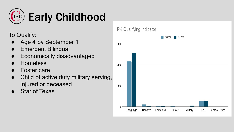

To Qualify:

- Age 4 by September 1
- **Emergent Bilingual**
- **Economically disadvantaged**
- **Homeless**
- **Foster care**
- Child of active duty military serving, injured or deceased
- **Star of Texas**

**PK Qualifying Indicator** 

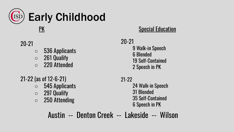

### 20-21

- 536 Applicants
- 261 Qualify
- 220 Attended

## 21-22 (as of 12-6-21)

- 545 Applicants
- 297 Qualify
- 250 Attending

20-21 9 Walk-in Speech 6 Blended 19 Self-Contained 2 Speech in PK

#### 21-22

24 Walk-in Speech 31 Blended 35 Self-Contained 6 Speech in PK

## Austin -- Denton Creek -- Lakeside -- Wilson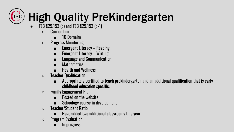### (ISD High Quality PreKindergarten

- TEC §29.153 (c) and TEC §29.153 (c-1)
	- Curriculum
		- 10 Domains
	- Progress Monitoring
		- Emergent Literacy Reading
		- Emergent Literacy Writing
		- Language and Communication
		- Mathematics
		- Health and Wellness
	- Teacher Qualification
		- Appropriately certified to teach prekindergarten and an additional qualification that is early childhood education specific.
	- $\circ$  Family Engagement Plan
		- Posted on the website
		- Schoology course in development
	- $\circ$  Teacher/Student Ratio
		- Have added two additional classrooms this year
	- $\circ$  Program Evaluation
		- In progress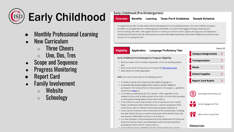

## Early Childhood

- **Monthly Professional Learning**
- **New Curriculum** 
	- $\circ$  Three Cheers
	- $\circ$  Uno, Dos, Tres
- **Scope and Sequence**
- **Progress Monitoring**
- **Report Card**
- **Family Involvement** 
	- $\circ$  Website
	- Schoology

#### **Early Childhood (Pre-Kindergarten)**

#### **Overview Texas Pre-K Guidelines Benefits** Learning **Sample Schedule**

In Coppell ISD we offer full day tuition-free Pre-Kindergarten for all qualifying learners. Our Early Childhood program provides our voungest learners a challenging and achievable curriculum that engages thinking, reasoning, and communicating with others. We support learners in making connections across subjects through play and exploration. Partnering with parents and the community we provide meaningful experiences that build confidence and ensure future success for our young learners.

#### **Eligibility**

#### **Language Proficiency Test Application**

#### Early Childhood Pre-Kindergarten Program Eligibility

- Must be 4 years old on or before September 1st for the enrolling school vear
- . Must reside within the boundaries of Coppell ISD Attendance Zone
- . Must submit an Online application

AND must meet at least ONE of the following criteria:

- is unable to speak and comprehend the English language; or
- is educationally disadvantaged (which means a student eligible to participate in the national free or reduced-price lunch program... guidelines can be found here); or
- is homeless, as defined by 42 U.S.C. Section 1143a, regardless of the residence of the child, of either parent of the child, or of the child's guardian or other person having lawful control of the child; or
- is the child of an active duty member of the armed forces of the United States, including the state military forces or a reserve component of the armed forces, who is ordered to active duty by proper authority; or
- is the child of a member of the armed forces of the United States, including the state military forces or a reserve component of the armed forces, who was injured or killed while serving on active duty; or
- is or ever has been in the conservatorship of the Department of Family and Protective Services (foster care) following an adversary hearing held as provided by Section 262.201, Family Code; or

. is the child of a person eligible for the Star of Texas Award as: a peace



**Expand All** 







**Resources**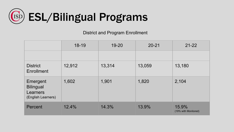

District and Program Enrollment

|                                                                | 18-19  | $19 - 20$ | $20 - 21$ | $21 - 22$                     |
|----------------------------------------------------------------|--------|-----------|-----------|-------------------------------|
|                                                                |        |           |           |                               |
| <b>District</b><br>Enrollment                                  | 12,912 | 13,314    | 13,059    | 13,180                        |
| Emergent<br><b>Bilingual</b><br>Learners<br>(English Learners) | 1,602  | 1,901     | 1,820     | 2,104                         |
| Percent                                                        | 12.4%  | 14.3%     | 13.9%     | 15.9%<br>(19% with Monitored) |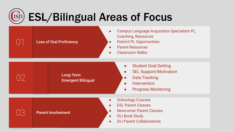### ESL/Bilingual Areas of Focus (ISC

**ODE Loss of Oral Proficiency** 

 $\bigcap_{i=1}^n$  Parent Involvement

- Campus Language Acquisition Specialists PL, Coaching, Resources
- District PL Opportunities
- Parent Resources
- Classroom Walks

Long-Term 02 Emergent Bilingual

**Student Goal Setting** 

- **SEL Support/Motivation**
- Data Tracking
- **Intervention**
- Progress Monitoring
- **•** Schoology Courses
- ESL Parent Classes
- **Newcomer Parent Classes**
- DLI Book Study
- DLI Parent Collaboratives